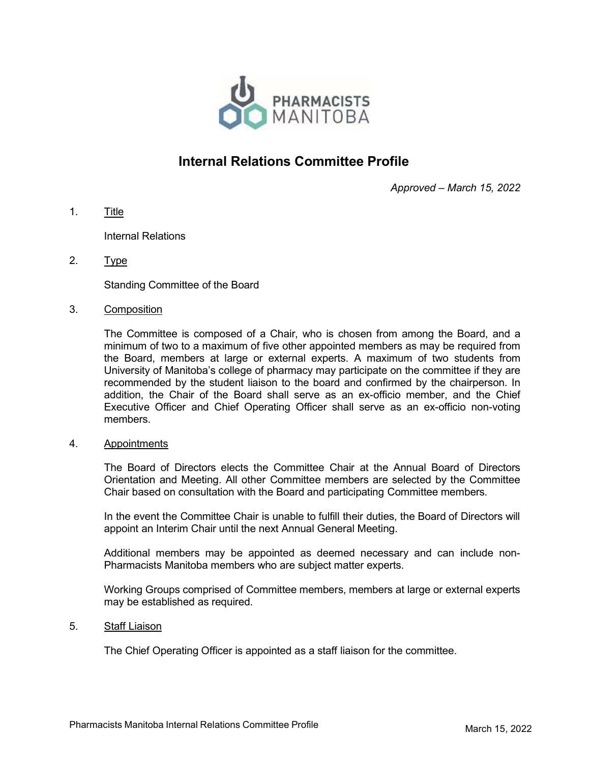

# Internal Relations Committee Profile

Approved – March 15, 2022

1. Title

Internal Relations

2. Type

Standing Committee of the Board

#### 3. Composition

The Committee is composed of a Chair, who is chosen from among the Board, and a minimum of two to a maximum of five other appointed members as may be required from the Board, members at large or external experts. A maximum of two students from University of Manitoba's college of pharmacy may participate on the committee if they are recommended by the student liaison to the board and confirmed by the chairperson. In addition, the Chair of the Board shall serve as an ex-officio member, and the Chief Executive Officer and Chief Operating Officer shall serve as an ex-officio non-voting members.

#### 4. Appointments

The Board of Directors elects the Committee Chair at the Annual Board of Directors Orientation and Meeting. All other Committee members are selected by the Committee Chair based on consultation with the Board and participating Committee members.

In the event the Committee Chair is unable to fulfill their duties, the Board of Directors will appoint an Interim Chair until the next Annual General Meeting.

Additional members may be appointed as deemed necessary and can include non-Pharmacists Manitoba members who are subject matter experts.

Working Groups comprised of Committee members, members at large or external experts may be established as required.

#### 5. Staff Liaison

The Chief Operating Officer is appointed as a staff liaison for the committee.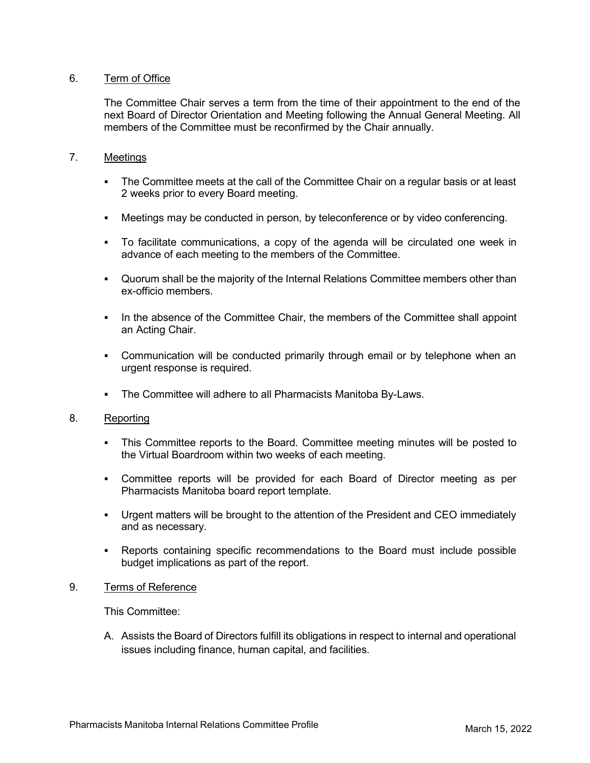# 6. Term of Office

The Committee Chair serves a term from the time of their appointment to the end of the next Board of Director Orientation and Meeting following the Annual General Meeting. All members of the Committee must be reconfirmed by the Chair annually.

## 7. Meetings

- The Committee meets at the call of the Committee Chair on a regular basis or at least 2 weeks prior to every Board meeting.
- Meetings may be conducted in person, by teleconference or by video conferencing.
- To facilitate communications, a copy of the agenda will be circulated one week in advance of each meeting to the members of the Committee.
- Quorum shall be the majority of the Internal Relations Committee members other than ex-officio members.
- In the absence of the Committee Chair, the members of the Committee shall appoint an Acting Chair.
- **•** Communication will be conducted primarily through email or by telephone when an urgent response is required.
- The Committee will adhere to all Pharmacists Manitoba By-Laws.

## 8. Reporting

- This Committee reports to the Board. Committee meeting minutes will be posted to the Virtual Boardroom within two weeks of each meeting.
- Committee reports will be provided for each Board of Director meeting as per Pharmacists Manitoba board report template.
- Urgent matters will be brought to the attention of the President and CEO immediately and as necessary.
- Reports containing specific recommendations to the Board must include possible budget implications as part of the report.

## 9. Terms of Reference

This Committee:

A. Assists the Board of Directors fulfill its obligations in respect to internal and operational issues including finance, human capital, and facilities.